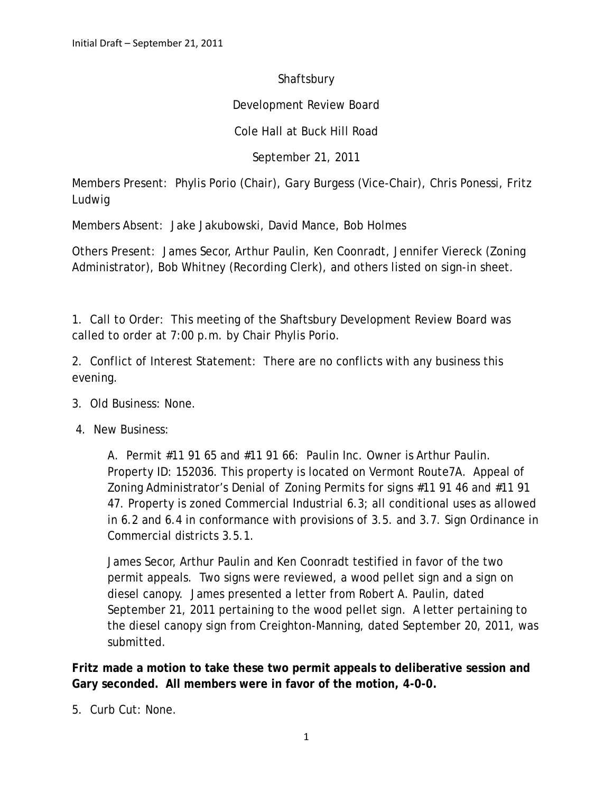## Shaftsbury

## Development Review Board

## Cole Hall at Buck Hill Road

September 21, 2011

Members Present: Phylis Porio (Chair), Gary Burgess (Vice-Chair), Chris Ponessi, Fritz Ludwig

Members Absent: Jake Jakubowski, David Mance, Bob Holmes

Others Present: James Secor, Arthur Paulin, Ken Coonradt, Jennifer Viereck (Zoning Administrator), Bob Whitney (Recording Clerk), and others listed on sign-in sheet.

1. Call to Order: This meeting of the Shaftsbury Development Review Board was called to order at 7:00 p.m. by Chair Phylis Porio.

2. Conflict of Interest Statement: There are no conflicts with any business this evening.

- 3. Old Business: None.
- 4. New Business:

A. Permit #11 91 65 and #11 91 66: Paulin Inc. Owner is Arthur Paulin. Property ID: 152036. This property is located on Vermont Route7A. Appeal of Zoning Administrator's Denial of Zoning Permits for signs #11 91 46 and #11 91 47. Property is zoned Commercial Industrial 6.3; all conditional uses as allowed in 6.2 and 6.4 in conformance with provisions of 3.5. and 3.7. Sign Ordinance in Commercial districts 3.5.1.

James Secor, Arthur Paulin and Ken Coonradt testified in favor of the two permit appeals. Two signs were reviewed, a wood pellet sign and a sign on diesel canopy. James presented a letter from Robert A. Paulin, dated September 21, 2011 pertaining to the wood pellet sign. A letter pertaining to the diesel canopy sign from Creighton-Manning, dated September 20, 2011, was submitted.

**Fritz made a motion to take these two permit appeals to deliberative session and Gary seconded. All members were in favor of the motion, 4-0-0.**

5. Curb Cut: None.